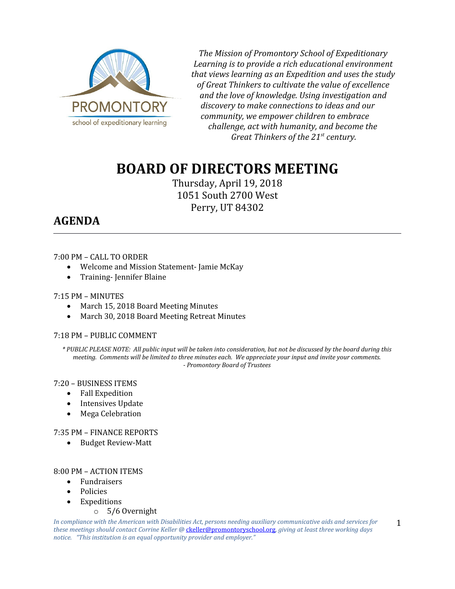

*The Mission of Promontory School of Expeditionary Learning is to provide a rich educational environment that views learning as an Expedition and uses the study of Great Thinkers to cultivate the value of excellence and the love of knowledge. Using investigation and discovery to make connections to ideas and our community, we empower children to embrace challenge, act with humanity, and become the Great Thinkers of the 21st century.*

# **BOARD OF DIRECTORS MEETING**

Thursday, April 19, 2018 1051 South 2700 West Perry, UT 84302

# **AGENDA**

# 7:00 PM – CALL TO ORDER

- Welcome and Mission Statement- Jamie McKay
- Training-Jennifer Blaine

# 7:15 PM – MINUTES

- March 15, 2018 Board Meeting Minutes
- March 30, 2018 Board Meeting Retreat Minutes

# 7:18 PM – PUBLIC COMMENT

*\* PUBLIC PLEASE NOTE: All public input will be taken into consideration, but not be discussed by the board during this meeting. Comments will be limited to three minutes each. We appreciate your input and invite your comments. - Promontory Board of Trustees*

# 7:20 – BUSINESS ITEMS

- Fall Expedition
- Intensives Update
- Mega Celebration

# 7:35 PM – FINANCE REPORTS

• Budget Review-Matt

# 8:00 PM – ACTION ITEMS

- Fundraisers
- Policies
- Expeditions
	- o 5/6 Overnight

*In compliance with the American with Disabilities Act, persons needing auxiliary communicative aids and services for these meetings should contact Corrine Keller @* [ckeller@promontoryschool.org](mailto:ckeller@promontoryschool.org)*, giving at least three working days notice. "This institution is an equal opportunity provider and employer."*

1